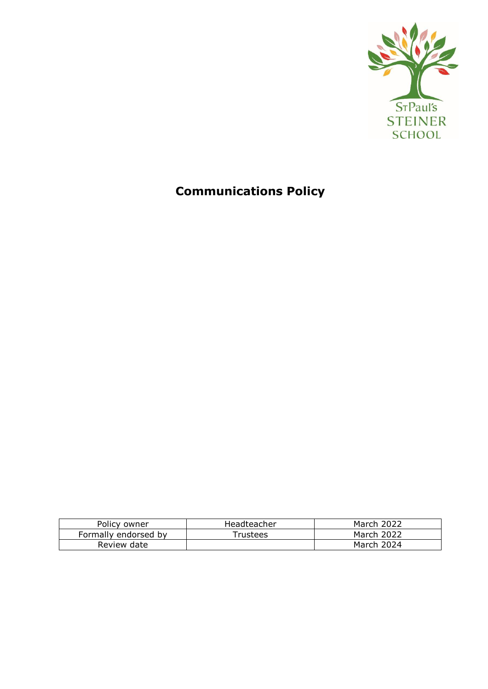

# **Communications Policy**

| Policy owner         | Headteacher | <b>March 2022</b> |
|----------------------|-------------|-------------------|
| Formally endorsed by | Trustees    | March 2022        |
| Review date          |             | March 2024        |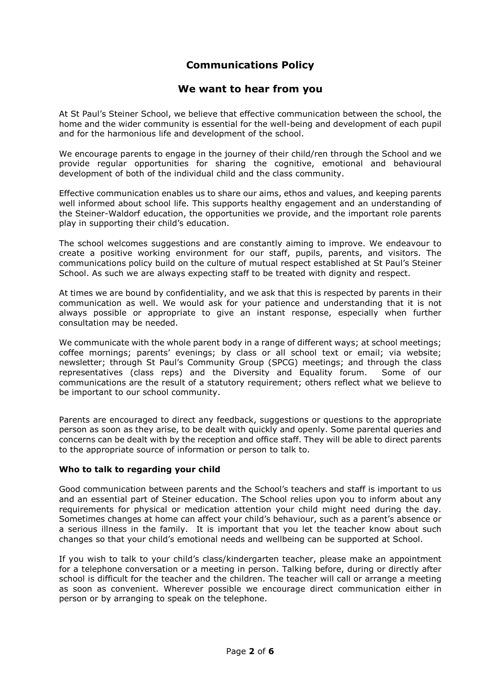# **Communications Policy**

# **We want to hear from you**

At St Paul's Steiner School, we believe that effective communication between the school, the home and the wider community is essential for the well-being and development of each pupil and for the harmonious life and development of the school.

We encourage parents to engage in the journey of their child/ren through the School and we provide regular opportunities for sharing the cognitive, emotional and behavioural development of both of the individual child and the class community.

Effective communication enables us to share our aims, ethos and values, and keeping parents well informed about school life. This supports healthy engagement and an understanding of the Steiner-Waldorf education, the opportunities we provide, and the important role parents play in supporting their child's education.

The school welcomes suggestions and are constantly aiming to improve. We endeavour to create a positive working environment for our staff, pupils, parents, and visitors. The communications policy build on the culture of mutual respect established at St Paul's Steiner School. As such we are always expecting staff to be treated with dignity and respect.

At times we are bound by confidentiality, and we ask that this is respected by parents in their communication as well. We would ask for your patience and understanding that it is not always possible or appropriate to give an instant response, especially when further consultation may be needed.

We communicate with the whole parent body in a range of different ways; at school meetings; coffee mornings; parents' evenings; by class or all school text or email; via website; newsletter; through St Paul's Community Group (SPCG) meetings; and through the class representatives (class reps) and the Diversity and Equality forum. Some of our communications are the result of a statutory requirement; others reflect what we believe to be important to our school community.

Parents are encouraged to direct any feedback, suggestions or questions to the appropriate person as soon as they arise, to be dealt with quickly and openly. Some parental queries and concerns can be dealt with by the reception and office staff. They will be able to direct parents to the appropriate source of information or person to talk to.

# **Who to talk to regarding your child**

Good communication between parents and the School's teachers and staff is important to us and an essential part of Steiner education. The School relies upon you to inform about any requirements for physical or medication attention your child might need during the day. Sometimes changes at home can affect your child's behaviour, such as a parent's absence or a serious illness in the family. It is important that you let the teacher know about such changes so that your child's emotional needs and wellbeing can be supported at School.

If you wish to talk to your child's class/kindergarten teacher, please make an appointment for a telephone conversation or a meeting in person. Talking before, during or directly after school is difficult for the teacher and the children. The teacher will call or arrange a meeting as soon as convenient. Wherever possible we encourage direct communication either in person or by arranging to speak on the telephone.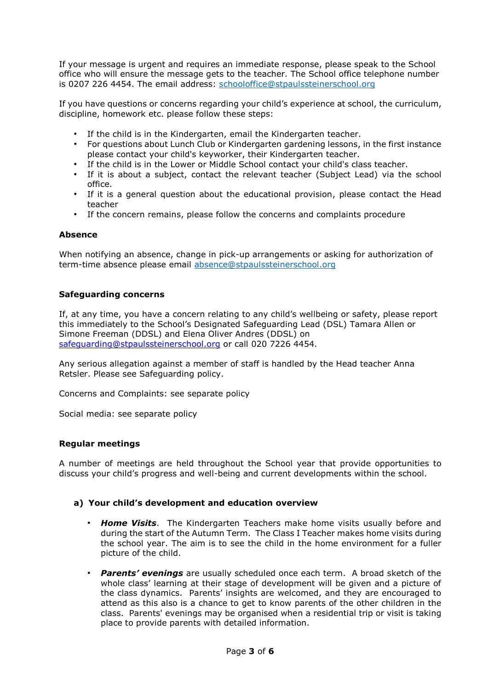If your message is urgent and requires an immediate response, please speak to the School office who will ensure the message gets to the teacher. The School office telephone number is 0207 226 4454. The email address: [schooloffice@stpaulssteinerschool.org](mailto:schooloffice@stpaulssteinerschool.org)

If you have questions or concerns regarding your child's experience at school, the curriculum, discipline, homework etc. please follow these steps:

- If the child is in the Kindergarten, email the Kindergarten teacher.
- For questions about Lunch Club or Kindergarten gardening lessons, in the first instance please contact your child's keyworker, their Kindergarten teacher.
- If the child is in the Lower or Middle School contact your child's class teacher.
- If it is about a subject, contact the relevant teacher (Subject Lead) via the school office.
- If it is a general question about the educational provision, please contact the Head teacher
- If the concern remains, please follow the concerns and complaints procedure

#### **Absence**

When notifying an absence, change in pick-up arrangements or asking for authorization of term-time absence please email [absence@stpaulssteinerschool.org](mailto:absence@stpaulssteinerschool.org)

## **Safeguarding concerns**

If, at any time, you have a concern relating to any child's wellbeing or safety, please report this immediately to the School's Designated Safeguarding Lead (DSL) Tamara Allen or Simone Freeman (DDSL) and Elena Oliver Andres (DDSL) on [safeguarding@stpaulssteinerschool.org](mailto:safeguarding@stpaulssteinerschool.org) or call 020 7226 4454.

Any serious allegation against a member of staff is handled by the Head teacher Anna Retsler. Please see Safeguarding policy.

Concerns and Complaints: see separate policy

Social media: see separate policy

#### **Regular meetings**

A number of meetings are held throughout the School year that provide opportunities to discuss your child's progress and well-being and current developments within the school.

#### **a) Your child's development and education overview**

- *Home Visits*. The Kindergarten Teachers make home visits usually before and during the start of the Autumn Term. The Class I Teacher makes home visits during the school year. The aim is to see the child in the home environment for a fuller picture of the child.
- *Parents' evenings* are usually scheduled once each term. A broad sketch of the whole class' learning at their stage of development will be given and a picture of the class dynamics. Parents' insights are welcomed, and they are encouraged to attend as this also is a chance to get to know parents of the other children in the class. Parents' evenings may be organised when a residential trip or visit is taking place to provide parents with detailed information.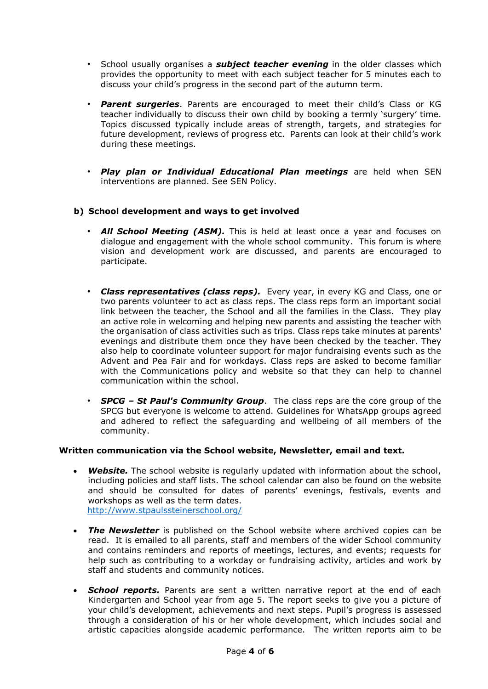- School usually organises a *subject teacher evening* in the older classes which provides the opportunity to meet with each subject teacher for 5 minutes each to discuss your child's progress in the second part of the autumn term.
- *Parent surgeries*. Parents are encouraged to meet their child's Class or KG teacher individually to discuss their own child by booking a termly 'surgery' time. Topics discussed typically include areas of strength, targets, and strategies for future development, reviews of progress etc. Parents can look at their child's work during these meetings.
- *Play plan or Individual Educational Plan meetings* are held when SEN interventions are planned. See SEN Policy.

# **b) School development and ways to get involved**

- *All School Meeting (ASM).* This is held at least once a year and focuses on dialogue and engagement with the whole school community. This forum is where vision and development work are discussed, and parents are encouraged to participate.
- *Class representatives (class reps).* Every year, in every KG and Class, one or two parents volunteer to act as class reps. The class reps form an important social link between the teacher, the School and all the families in the Class. They play an active role in welcoming and helping new parents and assisting the teacher with the organisation of class activities such as trips. Class reps take minutes at parents' evenings and distribute them once they have been checked by the teacher. They also help to coordinate volunteer support for major fundraising events such as the Advent and Pea Fair and for workdays. Class reps are asked to become familiar with the Communications policy and website so that they can help to channel communication within the school.
- *SPCG – St Paul's Community Group*. The class reps are the core group of the SPCG but everyone is welcome to attend. Guidelines for WhatsApp groups agreed and adhered to reflect the safeguarding and wellbeing of all members of the community.

# **Written communication via the School website, Newsletter, email and text.**

- **Website.** The school website is regularly updated with information about the school, including policies and staff lists. The school calendar can also be found on the website and should be consulted for dates of parents' evenings, festivals, events and workshops as well as the term dates. <http://www.stpaulssteinerschool.org/>
- *The Newsletter* is published on the School website where archived copies can be read. It is emailed to all parents, staff and members of the wider School community and contains reminders and reports of meetings, lectures, and events; requests for help such as contributing to a workday or fundraising activity, articles and work by staff and students and community notices.
- *School reports.* Parents are sent a written narrative report at the end of each Kindergarten and School year from age 5. The report seeks to give you a picture of your child's development, achievements and next steps. Pupil's progress is assessed through a consideration of his or her whole development, which includes social and artistic capacities alongside academic performance. The written reports aim to be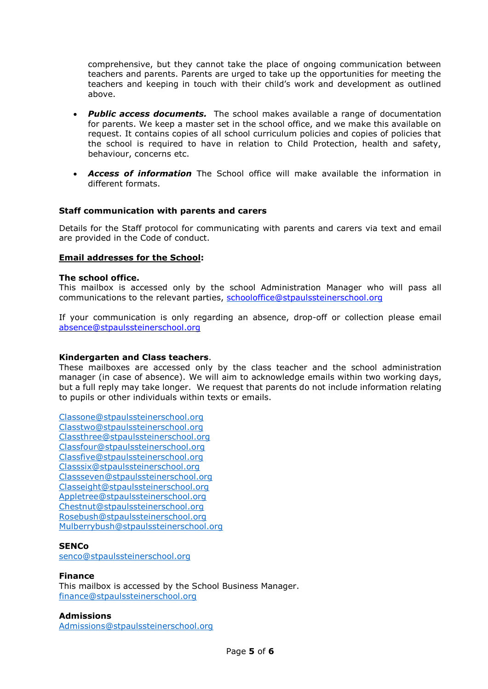comprehensive, but they cannot take the place of ongoing communication between teachers and parents. Parents are urged to take up the opportunities for meeting the teachers and keeping in touch with their child's work and development as outlined above.

- *Public access documents.* The school makes available a range of documentation for parents. We keep a master set in the school office, and we make this available on request. It contains copies of all school curriculum policies and copies of policies that the school is required to have in relation to Child Protection, health and safety, behaviour, concerns etc.
- *Access of information* The School office will make available the information in different formats.

#### **Staff communication with parents and carers**

Details for the Staff protocol for communicating with parents and carers via text and email are provided in the Code of conduct.

#### **Email addresses for the School:**

#### **The school office.**

This mailbox is accessed only by the school Administration Manager who will pass all communications to the relevant parties, [schooloffice@stpaulssteinerschool.org](mailto:schooloffice@stpaulssteinerschool.org)

If your communication is only regarding an absence, drop-off or collection please email [absence@stpaulssteinerschool.org](mailto:absence@stpaulssteinerschool.org)

#### **Kindergarten and Class teachers**.

These mailboxes are accessed only by the class teacher and the school administration manager (in case of absence). We will aim to acknowledge emails within two working days, but a full reply may take longer. We request that parents do not include information relating to pupils or other individuals within texts or emails.

[Classone@stpaulssteinerschool.org](mailto:Classone@stpaulssteinerschool.org) [Classtwo@stpaulssteinerschool.org](mailto:Classtwo@stpaulssteinerschool.org) [Classthree@stpaulssteinerschool.org](mailto:Classthree@stpaulssteinerschool.org) [Classfour@stpaulssteinerschool.org](mailto:Classfour@stpaulssteinerschool.org) [Classfive@stpaulssteinerschool.org](mailto:Classfive@stpaulssteinerschool.org) [Classsix@stpaulssteinerschool.org](mailto:Classsix@stpaulssteinerschool.org) [Classseven@stpaulssteinerschool.org](mailto:Classseven@stpaulssteinerschool.org) [Classeight@stpaulssteinerschool.org](mailto:Classeight@stpaulssteinerschool.org) [Appletree@stpaulssteinerschool.org](mailto:Appletree@stpaulssteinerschool.org) [Chestnut@stpaulssteinerschool.org](mailto:Chestnut@stpaulssteinerschool.org) [Rosebush@stpaulssteinerschool.org](mailto:Rosebush@stpaulssteinerschool.org) [Mulberrybush@stpaulssteinerschool.org](mailto:Mulberrybush@stpaulssteinerschool.org)

#### **SENCo**

[senco@stpaulssteinerschool.org](mailto:senco@stpaulssteinerschool.org)

#### **Finance**

This mailbox is accessed by the School Business Manager. [finance@stpaulssteinerschool.org](mailto:finance@stpaulssteinerschool.org)

#### **Admissions**

[Admissions@stpaulssteinerschool.org](mailto:Admissions@stpaulssteinerschool.org)